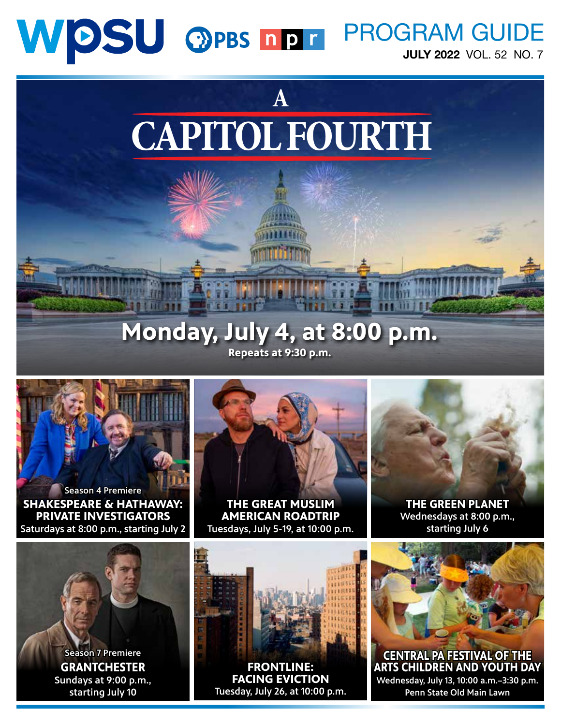# WDSU OPBS NDT PROGRAM GUIDE

JULY 2022 VOL. 52 NO. 7



# **Monday, July 4, at 8:00 p.m. Repeats at 9:30 p.m.**



**SHAKESPEARE & HATHAWAY: PRIVATE INVESTIGATORS**  Saturdays at 8:00 p.m., starting July 2 Season 4 Premiere



**THE GREAT MUSLIM AMERICAN ROADTRIP** Tuesdays, July 5-19, at 10:00 p.m.



**THE GREEN PLANET** Wednesdays at 8:00 p.m., starting July 6



**GRANTCHESTER** Sundays at 9:00 p.m., starting July 10 Season 7 Premiere



**FRONTLINE: FACING EVICTION** Tuesday, July 26, at 10:00 p.m. **CENTRAL PA FESTIVAL OF THE** 

**ARTS CHILDREN AND YOUTH DAY** Wednesday, July 13, 10:00 a.m.–3:30 p.m. Penn State Old Main Lawn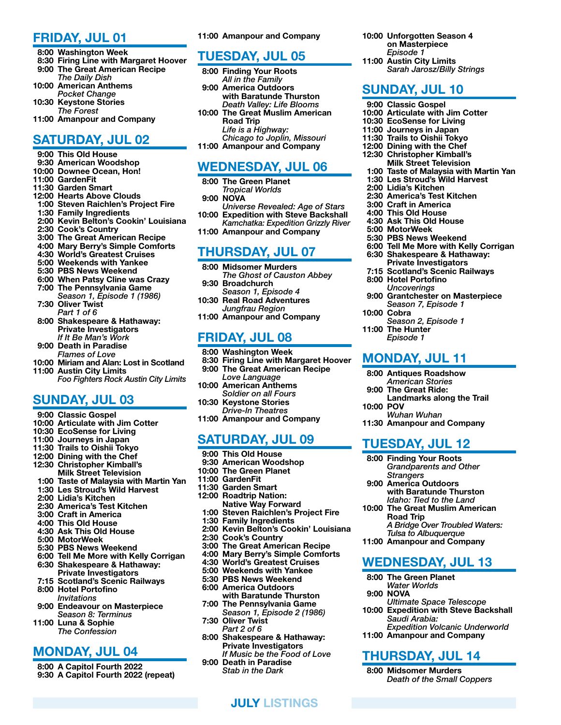#### FRIDAY, JUL 01

- 8:00 Washington Week
- 8:30 Firing Line with Margaret Hoover 9:00 The Great American Recipe
- *The Daily Dish*
- 10:00 American Anthems
- *Pocket Change*
- 10:30 Keystone Stories
- *The Forest*
- 11:00 Amanpour and Company

# SATURDAY, JUL 02

- 9:00 This Old House
- 9:30 American Woodshop
- 10:00 Downee Ocean, Hon!
- 11:00 GardenFit
- 11:30 Garden Smart
- 12:00 Hearts Above Clouds
- 1:00 Steven Raichlen's Project Fire
- 1:30 Family Ingredients
- 2:00 Kevin Belton's Cookin' Louisiana
- 2:30 Cook's Country
- 3:00 The Great American Recipe
- 4:00 Mary Berry's Simple Comforts
- 4:30 World's Greatest Cruises
- 5:00 Weekends with Yankee
- 5:30 PBS News Weekend
- 6:00 When Patsy Cline was Crazy 7:00 The Pennsylvania Game *Season 1, Episode 1 (1986)*
- 7:30 Oliver Twist *Part 1 of 6*
- 8:00 Shakespeare & Hathaway: Private Investigators *If It Be Man's Work*
- 9:00 Death in Paradise
- *Flames of Love*
- 10:00 Miriam and Alan: Lost in Scotland 11:00 Austin City Limits *Foo Fighters Rock Austin City Limits*

# SUNDAY, JUL 03

- 9:00 Classic Gospel
- 10:00 Articulate with Jim Cotter
- 10:30 EcoSense for Living
- 11:00 Journeys in Japan
- 11:30 Trails to Oishii Tokyo
- 12:00 Dining with the Chef
- 12:30 Christopher Kimball's
- Milk Street Television 1:00 Taste of Malaysia with Martin Yan
- 1:30 Les Stroud's Wild Harvest
- 2:00 Lidia's Kitchen
- 2:30 America's Test Kitchen
- 3:00 Craft in America
- 4:00 This Old House
- 4:30 Ask This Old House
- 5:00 MotorWeek
- 5:30 PBS News Weekend
- 6:00 Tell Me More with Kelly Corrigan
- 6:30 Shakespeare & Hathaway: Private Investigators
- 7:15 Scotland's Scenic Railways 8:00 Hotel Portofino
- *Invitations*
- 9:00 Endeavour on Masterpiece *Season 8: Terminus*
- 11:00 Luna & Sophie *The Confession*

## MONDAY, JUL 04

 8:00 A Capitol Fourth 2022 9:30 A Capitol Fourth 2022 (repeat) 11:00 Amanpour and Company

10:00 Unforgotten Season 4 on Masterpiece *Episode 1* 11:00 Austin City Limits

SUNDAY, JUL 10 9:00 Classic Gospel

 2:00 Lidia's Kitchen 2:30 America's Test Kitchen 3:00 Craft in America 4:00 This Old House 4:30 Ask This Old House 5:00 MotorWeek

5:30 PBS News Weekend

 8:00 Hotel Portofino *Uncoverings*

10:00 Cobra

10:00 POV

11:00 The Hunter *Episode 1*

 6:00 Tell Me More with Kelly Corrigan 6:30 Shakespeare & Hathaway: Private Investigators 7:15 Scotland's Scenic Railways

 9:00 Grantchester on Masterpiece *Season 7, Episode 1*

Landmarks along the Trail

*Grandparents and Other* 

with Baratunde Thurston *Idaho: Tied to the Land* 10:00 The Great Muslim American

*Tulsa to Albuquerque* 11:00 Amanpour and Company

WEDNESDAY, JUL 13

*Ultimate Space Telescope* 10:00 Expedition with Steve Backshall

*Death of the Small Coppers*

*Expedition Volcanic Underworld*

*A Bridge Over Troubled Waters:* 

*Season 2, Episode 1*

MONDAY, JUL 11 8:00 Antiques Roadshow *American Stories* 9:00 The Great Ride:

*Wuhan Wuhan* 11:30 Amanpour and Company

TUESDAY, JUL 12 8:00 Finding Your Roots

*Strangers* 9:00 America Outdoors

Road Trip

 8:00 The Green Planet *Water Worlds*

*Saudi Arabia:* 

11:00 Amanpour and Company

THURSDAY, JUL 14 8:00 Midsomer Murders

9:00 NOVA

10:00 Articulate with Jim Cotter 10:30 EcoSense for Living 11:00 Journeys in Japan 11:30 Trails to Oishii Tokyo 12:00 Dining with the Chef 12:30 Christopher Kimball's Milk Street Television 1:00 Taste of Malaysia with Martin Yan 1:30 Les Stroud's Wild Harvest

*Sarah Jarosz/Billy Strings*

#### TUESDAY, JUL 05

- 8:00 Finding Your Roots *All in the Family* 9:00 America Outdoors with Baratunde Thurston *Death Valley: Life Blooms* 10:00 The Great Muslim American Road Trip *Life is a Highway:*
- *Chicago to Joplin, Missouri* 11:00 Amanpour and Company

## WEDNESDAY, JUL 06

- 8:00 The Green Planet
- *Tropical Worlds*
- 9:00 NOVA
- *Universe Revealed: Age of Stars* 10:00 Expedition with Steve Backshall *Kamchatka: Expedition Grizzly River*
- 11:00 Amanpour and Company

#### THURSDAY, JUL 07

- 8:00 Midsomer Murders
- *The Ghost of Causton Abbey* 9:30 Broadchurch
- *Season 1, Episode 4* 10:30 Real Road Adventures *Jungfrau Region*
- 11:00 Amanpour and Company

# FRIDAY, JUL 08

- 8:00 Washington Week
- 8:30 Firing Line with Margaret Hoover
- 9:00 The Great American Recipe *Love Language*
- 10:00 American Anthems
- *Soldier on all Fours* 10:30 Keystone Stories
	- *Drive-In Theatres*
- 11:00 Amanpour and Company

## SATURDAY, JUL 09

- 9:00 This Old House
- 9:30 American Woodshop
- 10:00 The Green Planet
- 11:00 GardenFit
- 11:30 Garden Smart
- 12:00 Roadtrip Nation: Native Way Forward
- 1:00 Steven Raichlen's Project Fire
- 1:30 Family Ingredients
- 2:00 Kevin Belton's Cookin' Louisiana
- 2:30 Cook's Country
- 3:00 The Great American Recipe
- 4:00 Mary Berry's Simple Comforts
- 4:30 World's Greatest Cruises
- 5:00 Weekends with Yankee
- 5:30 PBS News Weekend 6:00 America Outdoors
- with Baratunde Thurston 7:00 The Pennsylvania Game
- *Season 1, Episode 2 (1986)* 7:30 Oliver Twist
- *Part 2 of 6* 8:00 Shakespeare & Hathaway:
- Private Investigators *If Music be the Food of Love*

JULY LISTINGS

 9:00 Death in Paradise *Stab in the Dark*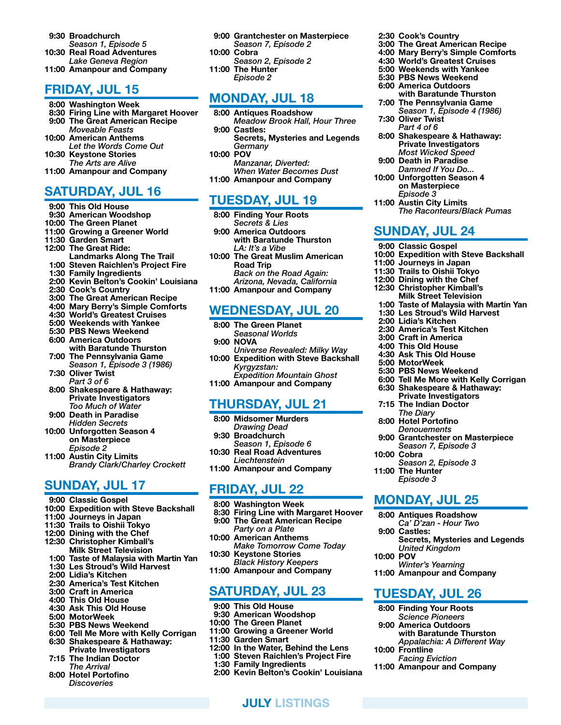- 9:30 Broadchurch *Season 1, Episode 5* 10:30 Real Road Adventures *Lake Geneva Region*
- 11:00 Amanpour and Company

## FRIDAY, JUL 15

- 8:00 Washington Week
- 8:30 Firing Line with Margaret Hoover
- 9:00 The Great American Recipe *Moveable Feasts*
- 10:00 American Anthems *Let the Words Come Out* 10:30 Keystone Stories
- *The Arts are Alive*
- 11:00 Amanpour and Company

## SATURDAY, JUL 16

- 9:00 This Old House 9:30 American Woodshop 10:00 The Green Planet 11:00 Growing a Greener World 11:30 Garden Smart 12:00 The Great Ride:
- Landmarks Along The Trail
- 1:00 Steven Raichlen's Project Fire
- 1:30 Family Ingredients
- 2:00 Kevin Belton's Cookin' Louisiana
- 2:30 Cook's Country
- 3:00 The Great American Recipe
- 4:00 Mary Berry's Simple Comforts
- 4:30 World's Greatest Cruises
- 5:00 Weekends with Yankee 5:30 PBS News Weekend
- 
- 6:00 America Outdoors with Baratunde Thurston 7:00 The Pennsylvania Game
- *Season 1, Episode 3 (1986)* 7:30 Oliver Twist
- *Part 3 of 6* 8:00 Shakespeare & Hathaway: Private Investigators *Too Much of Water*
- 9:00 Death in Paradise *Hidden Secrets*
- 10:00 Unforgotten Season 4 on Masterpiece
- *Episode 2* 11:00 Austin City Limits *Brandy Clark/Charley Crockett*

# SUNDAY, JUL 17

- 9:00 Classic Gospel
- 10:00 Expedition with Steve Backshall
- 11:00 Journeys in Japan
- 11:30 Trails to Oishii Tokyo
- 12:00 Dining with the Chef
- 12:30 Christopher Kimball's Milk Street Television
- 1:00 Taste of Malaysia with Martin Yan
- 1:30 Les Stroud's Wild Harvest
- 2:00 Lidia's Kitchen
- 2:30 America's Test Kitchen
- 3:00 Craft in America
- 4:00 This Old House
- 4:30 Ask This Old House
- 5:00 MotorWeek
- 5:30 PBS News Weekend
- 6:00 Tell Me More with Kelly Corrigan 6:30 Shakespeare & Hathaway:
- Private Investigators 7:15 The Indian Doctor
- *The Arrival* 8:00 Hotel Portofino
- *Discoveries*
- 9:00 Grantchester on Masterpiece *Season 7, Episode 2*
- 10:00 Cobra
- *Season 2, Episode 2* 11:00 The Hunter
	- *Episode 2*

# MONDAY, JUL 18

- 8:00 Antiques Roadshow *Meadow Brook Hall, Hour Three* 9:00 Castles:
- Secrets, Mysteries and Legends *Germany*
- 10:00 POV *Manzanar, Diverted: When Water Becomes Dust* 11:00 Amanpour and Company

# TUESDAY, JUL 19

- 8:00 Finding Your Roots *Secrets & Lies* 9:00 America Outdoors
- with Baratunde Thurston *LA: It's a Vibe*
- 10:00 The Great Muslim American Road Trip *Back on the Road Again: Arizona, Nevada, California*
- 11:00 Amanpour and Company

# WEDNESDAY, JUL 20

- 8:00 The Green Planet
- *Seasonal Worlds*
- 9:00 NOVA *Universe Revealed: Milky Way* 10:00 Expedition with Steve Backshall
- *Kyrgyzstan:*
- *Expedition Mountain Ghost* 11:00 Amanpour and Company

## THURSDAY, JUL 21

- 8:00 Midsomer Murders
- *Drawing Dead*
- 9:30 Broadchurch
- *Season 1, Episode 6*
- 10:30 Real Road Adventures *Liechtenstein*
- 11:00 Amanpour and Company

# FRIDAY, JUL 22

- 8:00 Washington Week
- 8:30 Firing Line with Margaret Hoover
- 9:00 The Great American Recipe *Party on a Plate*
- 10:00 American Anthems
- *Make Tomorrow Come Today* 10:30 Keystone Stories
- *Black History Keepers* 11:00 Amanpour and Company

# SATURDAY, JUL 23

- 9:00 This Old House
- 9:30 American Woodshop
- 10:00 The Green Planet
- 11:00 Growing a Greener World
- 11:30 Garden Smart
- 12:00 In the Water, Behind the Lens
- 1:00 Steven Raichlen's Project Fire
- 1:30 Family Ingredients
- 2:00 Kevin Belton's Cookin' Louisiana

JULY LISTINGS

- 2:30 Cook's Country
- 3:00 The Great American Recipe 4:00 Mary Berry's Simple Comforts
- 4:30 World's Greatest Cruises
- 5:00 Weekends with Yankee
- 5:30 PBS News Weekend
- 6:00 America Outdoors with Baratunde Thurston
- 7:00 The Pennsylvania Game *Season 1, Episode 4 (1986)*
- 7:30 Oliver Twist *Part 4 of 6*
- 8:00 Shakespeare & Hathaway: Private Investigators *Most Wicked Speed*

*The Raconteurs/Black Pumas*

10:00 Expedition with Steve Backshall

 9:00 Death in Paradise *Damned If You Do...* 10:00 Unforgotten Season 4

SUNDAY, JUL 24 9:00 Classic Gospel

11:00 Journeys in Japan 11:30 Trails to Oishii Tokyo 12:00 Dining with the Chef 12:30 Christopher Kimball's Milk Street Television 1:00 Taste of Malaysia with Martin Yan 1:30 Les Stroud's Wild Harvest

 2:00 Lidia's Kitchen 2:30 America's Test Kitchen 3:00 Craft in America 4:00 This Old House 4:30 Ask This Old House 5:00 MotorWeek

10:00 Cobra

11:00 The Hunter *Episode 3*

9:00 Castles:

10:00 Frontline

10:00 POV

5:30 PBS News Weekend

 6:00 Tell Me More with Kelly Corrigan 6:30 Shakespeare & Hathaway: Private Investigators 7:15 The Indian Doctor *The Diary* 8:00 Hotel Portofino *Denouements*

 9:00 Grantchester on Masterpiece *Season 7, Episode 3*

Secrets, Mysteries and Legends

*Season 2, Episode 3*

MONDAY, JUL 25 8:00 Antiques Roadshow *Ca' D'zan - Hour Two*

*United Kingdom*

*Winter's Yearning* 11:00 Amanpour and Company

TUESDAY, JUL 26 8:00 Finding Your Roots *Science Pioneers* 9:00 America Outdoors

*Facing Eviction* 11:00 Amanpour and Company

with Baratunde Thurston *Appalachia: A Different Way*

on Masterpiece *Episode 3* 11:00 Austin City Limits